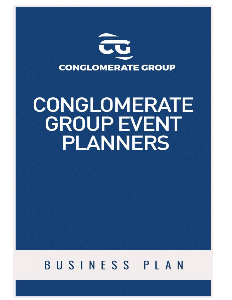

# CONGLOMERATE **GROUP EVENT PLANNERS**

# BUSINESS PLAN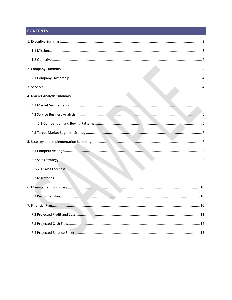# **CONTENTS**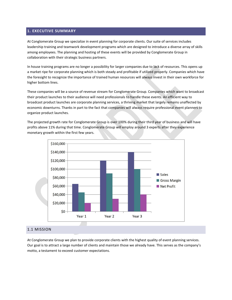#### <span id="page-2-0"></span>**1. EXECUTIVE SUMMARY**

At Conglomerate Group we specialize in event planning for corporate clients. Our suite of services includes leadership training and teamwork development programs which are designed to introduce a diverse array of skills among employees. The planning and hosting of these events will be provided by Conglomerate Group in collaboration with their strategic business partners.

In house training programs are no longer a possibility for larger companies due to lack of resources. This opens up a market ripe for corporate planning which is both steady and profitable if utilized properly. Companies which have the foresight to recognize the importance of trained human resources will always invest in their own workforce for higher bottom lines.

These companies will be a source of revenue stream for Conglomerate Group. Companies which want to broadcast their product launches to their audience will need professionals to handle these events. An efficient way to broadcast product launches are corporate planning services, a thriving market that largely remains unaffected by economic downturns. Thanks in part to the fact that companies will always require professional event planners to organize product launches.

The projected growth rate for Conglomerate Group is over 100% during their third year of business and will have profits above 11% during that time. Conglomerate Group will employ around 3 experts after they experience monetary growth within the first few years.



#### 1.1 MISSION

At Conglomerate Group we plan to provide corporate clients with the highest quality of event planning services. Our goal is to attract a large number of clients and maintain those we already have. This serves as the company's motto, a testament to exceed customer expectations.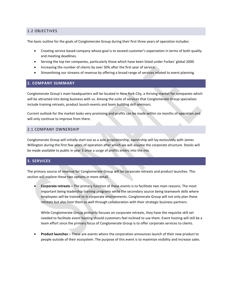#### <span id="page-3-0"></span>1.2 OBJECTIVES

The basic outline for the goals of Conglomerate Group during their first three years of operation includes:

- Creating service based company whose goal is to exceed customer's expectation in terms of both quality and meeting deadlines.
- Serving the top tier companies, particularly those which have been listed under Forbes' global 2000.
- Increasing the number of clients by over 50% after the first year of service.
- Streamlining our streams of revenue by offering a broad range of services related to event planning.

#### **2. COMPANY SUMMARY**

Conglomerate Group's main headquarters will be located in New York City, a thriving market for companies which will be attracted into doing business with us. Among the suite of services that Conglomerate Group specializes include training retreats, product launch events and team building skill seminars.

Current outlook for the market looks very promising and profits can be made within six months of operation and will only continue to improve from there.

#### 2.1 COMPANY OWNERSHIP

Conglomerate Group will initially start out as a sole proprietorship, ownership will lay exclusively with James Willington during the first few years of operation after which we will assume the corporate structure. Stocks will be made available to public in year 3 once a surge of profits enters into the mix.

#### **3. SERVICES**

The primary source of revenue for Conglomerate Group will be corporate retreats and product launches. This section will explore these two options in more detail.

 **Corporate retreats –** The primary function of these events is to facilitate two main reasons. The most important being leadership training programs while the secondary source being teamwork skills where employees will be trained to in corporate environments. Conglomerate Group will not only plan these retreats but also host them as well through collaboration with their strategic business partners.

While Conglomerate Group primarily focuses on corporate retreats, they have the requisite skill set needed to facilitate event hosting should customers feel inclined to use them. Event hosting will still be a team effort since the primary focus of Conglomerate Group is to offer corporate services to clients.

 **Product launches –** These are events where the corporation announces launch of their new product to people outside of their ecosystem. The purpose of this event is to maximize visibility and increase sales.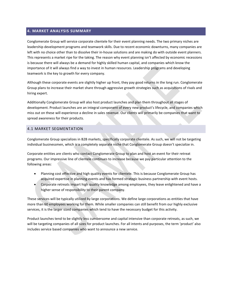#### <span id="page-4-0"></span>**4. MARKET ANALYSIS SUMMARY**

Conglomerate Group will service corporate clientele for their event planning needs. The two primary niches are leadership development programs and teamwork skills. Due to recent economic downturns, many companies are left with no choice other than to dissolve their in-house solutions and are making do with outside event planners. This represents a market ripe for the taking. The reason why event planning isn't affected by economic recessions is because there will always be a demand for highly skilled human capital, and companies which know the importance of it will always find a way to invest in human resources. Leadership programs and developing teamwork is the key to growth for every company.

Although these corporate events are slightly higher up front, they pay good returns in the long run. Conglomerate Group plans to increase their market share through aggressive growth strategies such as acquisitions of rivals and hiring expert.

Additionally Conglomerate Group will also host product launches and plan them throughout all stages of development. Product launches are an integral component of every new product's lifecycle, and companies which miss out on these will experience a decline in sales revenue. Our clients will primarily be companies that want to spread awareness for their products.

#### 4.1 MARKET SEGMENTATION

Conglomerate Group specializes in B2B markets, specifically corporate clientele. As such, we will not be targeting individual businessmen, which is a completely separate niche that Conglomerate Group doesn't specialize in.

Corporate entities are clients who contact Conglomerate Group to plan and host an event for their retreat programs. Our impressive line of clientele continues to increase because we pay particular attention to the following areas:

- Planning cost effective and high quality events for clientele. This is because Conglomerate Group has acquired expertise in planning events and has formed strategic business partnership with event hosts.
- Corporate retreats impart high quality knowledge among employees, they leave enlightened and have a higher sense of responsibility to their parent company.

These services will be typically utilized by large corporations. We define large corporations as entities that have more than 60 employees working for them. While smaller companies can still benefit from our highly exclusive services, it is the larger sized companies which tend to have the necessary budget for this activity.

Product launches tend to be slightly less cumbersome and capital intensive than corporate retreats, as such, we will be targeting companies of all sizes for product launches. For all intents and purposes, the term 'product' also includes service based companies who want to announce a new service.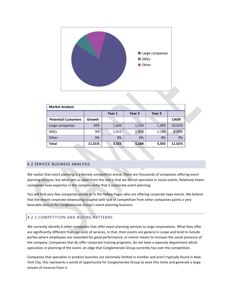<span id="page-5-0"></span>![](_page_5_Figure_0.jpeg)

| <b>Market Analysis</b>     |        |        |        |        |             |  |  |
|----------------------------|--------|--------|--------|--------|-------------|--|--|
|                            |        | Year 1 | Year 2 | Year 3 |             |  |  |
| <b>Potential Customers</b> | Growth |        |        |        | <b>CAGR</b> |  |  |
| Large companies            | 10%    | 1,643  | 1,234  | 1,493  | 10.01%      |  |  |
| <b>SMEs</b>                | 9%     | 1,912  | 2,054  | 2,100  | 8.89%       |  |  |
| Other                      | 0%     | 0%     | 0%     | 0%     | 0%          |  |  |
| <b>Total</b>               | 11.01% | 3,555  | 3,288  | 3,593  | 11.01%      |  |  |

#### 4.2 SERVICE BUSINESS ANALYSIS

We realize that event planning is a fiercely competitive arena. There are thousands of companies offering event planning services, but what sets us apart from the rest is that we do not specialize in social events. Relatively fewer companies have expertise in the complex niche that is corporate event planning.

You will find very few companies online or in the Yellow Pages who are offering corporate type events. We believe that the recent corporate downsizing coupled with lack of competition from other companies paints a very favorable picture for Conglomerate Group's event planning business.

#### 4.2.1 COMPETITION AND BUYING PATTERNS

We currently identify 6 other companies that offer event planning services to large corporations. What they offer are significantly different than our suite of services, in that, their events are general in scope and tend to include parties where employees are rewarded for good performance, or events meant to increase the social presence of the company. Companies that do offer corporate training programs, do not have a separate department which specializes in planning of the event, an edge that Conglomerate Group currently has over the competition.

Companies that specialize in product launches are extremely limited in number and aren't typically found in New York City, this represents a world of opportunity for Conglomerate Group to seize this niche and generate a large stream of revenue from it.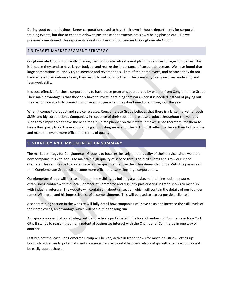<span id="page-6-0"></span>During good economic times, larger corporations used to have their own in-house departments for corporate training events, but due to economic downturns, these departments are slowly being phased out. Like we previously mentioned, this represents a vast number of opportunities to Conglomerate Group.

#### 4.3 TARGET MARKET SEGMENT STRATEGY

Conglomerate Group is currently offering their corporate retreat event planning services to large companies. This is because they tend to have larger budgets and realize the importance of corporate retreats. We have found that large corporations routinely try to increase and revamp the skill set of their employees, and because they do not have access to an in-house team, they resort to outsourcing them. The training typically involves leadership and teamwork skills.

It is cost effective for these corporations to have these programs outsourced by experts from Conglomerate Group. Their main advantage is that they only have to invest in training seminars when it is needed instead of paying out the cost of having a fully trained, in-house employee when they don't need one throughout the year.

When it comes to product and service releases, Conglomerate Group believes that there is a large market for both SMEs and big corporations. Companies, irrespective of their size, don't release product throughout the year, as such they simply do not have the need for a full time planner on their staff. It makes sense therefore, for them to hire a third party to do the event planning and hosting service for them. This will reflect better on their bottom line and make the event more efficient in terms of quality.

#### **5. STRATEGY AND IMPLEMENTATION SUMMARY**

The market strategy for Conglomerate Group is to focus exclusively on the quality of their service, since we are a new company, it is vital for us to maintain high quality of service throughout all events and grow our list of clientele. This requires us to concentrate on the specifics that the client has demanded of us. With the passage of time Conglomerate Group will become more efficient at servicing large corporations.

Conglomerate Group will increase their online visibility by building a website, maintaining social networks, establishing contact with the local Chamber of Commerce and regularly participating in trade shows to meet up with industry veterans. The website will contain an 'about us' section which will contain the details of our founder James Willington and his impressive list of accomplishments. This will be used to attract possible clientele.

A separate blog section in the website will fully detail how companies will save costs and increase the skill levels of their employees, an advantage which will pan out in the long run.

A major component of our strategy will be to actively participate in the local Chambers of Commerce in New York City. It stands to reason that many potential businesses interact with the Chamber of Commerce in one way or another.

Last but not the least, Conglomerate Group will be very active in trade shows for most industries. Setting up booths to advertise to potential clients is a sure-fire way to establish new relationships with clients who may not be easily approachable.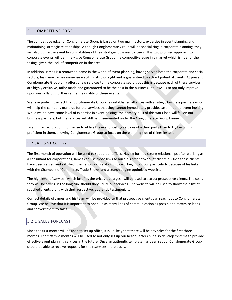#### <span id="page-7-0"></span>5.1 COMPETITIVE EDGE

The competitive edge for Conglomerate Group is based on two main factors, expertise in event planning and maintaining strategic relationships. Although Conglomerate Group will be specializing in corporate planning, they will also utilize the event hosting abilities of their strategic business partners. This two pronged approach to corporate events will definitely give Conglomerate Group the competitive edge in a market which is ripe for the taking, given the lack of competition in the area.

In addition, James is a renowned name in the world of event planning, having served both the corporate and social sectors, his name carries immense weight in its own right and is guaranteed to attract potential clients. At present, Conglomerate Group only offers a few services to the corporate sector, but this is because each of these services are highly exclusive, tailor made and guaranteed to be the best in the business. It allows us to not only improve upon our skills but further refine the quality of these events.

We take pride in the fact that Conglomerate Group has established alliances with strategic business partners who will help the company make up for the services that they cannot immediately provide, case-in-point, event hosting. While we do have some level of expertise in event hosting, the primary bulk of this work load will fall on our business partners, but the services will still be disseminated under the Conglomerate Group banner.

To summarize, it is common sense to utilize the event hosting services of a third party than to try becoming proficient in them, allowing Conglomerate Group to focus on the planning side of things instead.

#### 5.2 SALES STRATEGY

The first month of operation will be used to set up our offices. Having formed strong relationships after working as a consultant for corporations, James can use those linksto build his first network of clientele. Once these clients have been served and satisfied, the network of relationships will begin to grow, particularly because of his links with the Chambers of Commerce, Trade Shows and a search engine optimized website.

The high level of service - which justifies the prices it charges - will be used to attract prospective clients. The costs they will be saving in the long run, should they utilize our services. The website will be used to showcase a list of satisfied clients along with their respective, authentic testimonials.

Contact details of James and his team will be provided so that prospective clients can reach out to Conglomerate Group. We believe that it is important to open up as many lines of communication as possible to maximize leads and convert them to sales.

#### 5.2.1 SALES FORECAST

Since the first month will be used to set up office, it is unlikely that there will be any sales for the first three months. The first two months will be used to not only set up our headquarters but also develop systems to provide effective event planning services in the future. Once an authentic template has been set up, Conglomerate Group should be able to receive requests for their services more easily.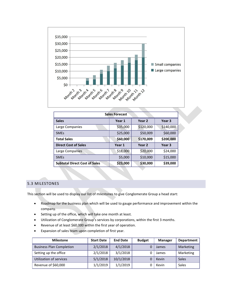<span id="page-8-0"></span>![](_page_8_Figure_0.jpeg)

| <b>Sales Forecast</b>                |          |                   |           |  |  |
|--------------------------------------|----------|-------------------|-----------|--|--|
| <b>Sales</b>                         | Year 1   | Year 2            | Year 3    |  |  |
| Large Companies                      | \$35,000 | \$120,000         | \$140,000 |  |  |
| <b>SMEs</b>                          | \$25,000 | \$50,009          | \$60,000  |  |  |
| <b>Total Sales</b>                   | \$60,000 | \$170,009         | \$200,000 |  |  |
| <b>Direct Cost of Sales</b>          | Year 1   | Year <sub>2</sub> | Year 3    |  |  |
| Large Companies                      | \$18,000 | \$20,000          | \$24,000  |  |  |
| <b>SMEs</b>                          | \$5,000  | \$10,000          | \$15,000  |  |  |
| <b>Subtotal Direct Cost of Sales</b> | \$23,000 | \$30,000          | \$39,000  |  |  |

#### 5.3 MILESTONES

This section will be used to display our list of milestones to give Conglomerate Group a head start:

- Roadmap for the business plan which will be used to gauge performance and improvement within the company.
- Setting up of the office, which will take one month at least.
- Utilization of Conglomerate Group's services by corporations, within the first 3 months.
- Revenue of at least \$60,000 within the first year of operation.
- Expansion of sales team upon completion of first year.

| <b>Milestone</b>                | <b>Start Date</b> | <b>End Date</b> | <b>Budget</b> | <b>Manager</b> | Department   |
|---------------------------------|-------------------|-----------------|---------------|----------------|--------------|
| <b>Business Plan Completion</b> | 2/1/2018          | 4/1/2018        |               | James          | Marketing    |
| Setting up the office           | 2/1/2018          | 3/1/2018        |               | James          | Marketing    |
| Utilization of services         | 5/1/2018          | 10/1/2018       |               | Kevin          | <b>Sales</b> |
| Revenue of \$60,000             | 1/1/2019          | 1/1/2019        |               | Kevin          | Sales        |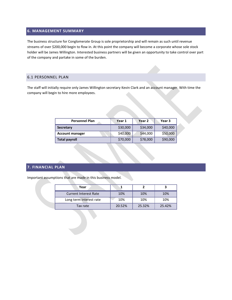#### <span id="page-9-0"></span>**6. MANAGEMENT SUMMARY**

The business structure for Conglomerate Group is sole proprietorship and will remain as such until revenue streams of over \$200,000 begin to flow in. At this point the company will become a corporate whose sole stock holder will be James Willington. Interested business partners will be given an opportunity to take control over part of the company and partake in some of the burden.

#### 6.1 PERSONNEL PLAN

The staff will initially require only James Willington secretary Kevin Clark and an account manager. With time the company will begin to hire more employees.

| <b>Personnel Plan</b>  | Year 1   | Year <sub>2</sub> | Year 3   |
|------------------------|----------|-------------------|----------|
| Secretary              | \$30,000 | \$34,000          | \$40,000 |
| <b>Account manager</b> | \$40,000 | \$44,000          | \$50,000 |
| <b>Total payroll</b>   | \$70,000 | \$78,000          | \$90,000 |

## **7. FINANCIAL PLAN**

Important assumptions that are made in this business model.

| Year                         |        |        |        |
|------------------------------|--------|--------|--------|
| <b>Current Interest Rate</b> | 10%    | 10%    | 10%    |
| Long term interest rate      | 10%    | 10%    | 10%    |
| Tax rate                     | 20.52% | 25.32% | 25.42% |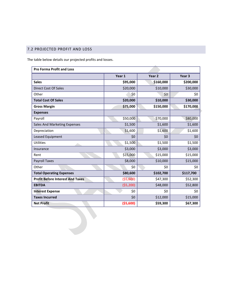# <span id="page-10-0"></span>7.2 PROJECTED PROFIT AND LOSS

The table below details our projected profits and losses.

| <b>Pro Forma Profit and Loss</b>        |            |                 |           |
|-----------------------------------------|------------|-----------------|-----------|
|                                         | Year 1     | Year 2          | Year 3    |
| <b>Sales</b>                            | \$95,000   | \$160,000       | \$200,000 |
| Direct Cost Of Sales                    | \$20,000   | \$10,000        | \$30,000  |
| Other                                   | \$0        | 50 <sup>7</sup> | \$0       |
| <b>Total Cost Of Sales</b>              | \$20,000   | \$10,000        | \$30,000  |
| <b>Gross Margin</b>                     | \$75,000   | \$150,000       | \$170,000 |
| <b>Expenses</b>                         |            |                 |           |
| Payroll                                 | \$50,000   | \$70,000        | \$80,000  |
| Sales And Marketing Expenses            | \$1,500    | \$1,600         | \$1,600   |
| Depreciation                            | \$1,600    | \$1,600         | \$1,600   |
| Leased Equipment                        | \$0        | \$0             | \$0       |
| <b>Utilities</b>                        | \$1,500    | \$1,500         | \$1,500   |
| Insurance                               | \$3,000    | \$3,000         | \$3,000   |
| Rent                                    | \$15,000   | \$15,000        | \$15,000  |
| <b>Payroll Taxes</b>                    | \$8,000    | \$10,000        | \$15,000  |
| Other                                   | \$0\$      | \$0             | \$0       |
| <b>Total Operating Expenses</b>         | \$80,600   | \$102,700       | \$117,700 |
| <b>Profit Before Interest And Taxes</b> | (55,600)   | \$47,300        | \$52,300  |
| <b>EBITDA</b>                           | (55, 200)  | \$48,000        | \$52,800  |
| <b>Interest Expense</b>                 | \$0        | \$0             | \$0       |
| <b>Taxes Incurred</b>                   | \$0        | \$12,000        | \$15,000  |
| <b>Net Profit</b>                       | ( \$5,600) | \$59,300        | \$67,300  |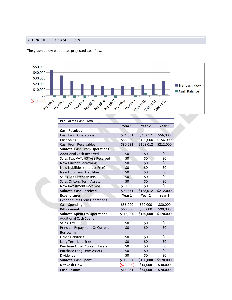### <span id="page-11-0"></span>7.3 PROJECTED CASH FLOW

The graph below elaborates projected cash flow.

![](_page_11_Figure_2.jpeg)

| <b>Pro Forma Cash Flow</b>           |             |                   |                   |
|--------------------------------------|-------------|-------------------|-------------------|
|                                      | Year 1      | Year 2            | Year 3            |
| <b>Cash Received</b>                 |             |                   |                   |
| <b>Cash From Operations</b>          | \$24,531    | \$48,012          | \$56,000          |
| Cash Sales                           | \$56,000    | \$120,000         | \$156,000         |
| <b>Cash From Receivables</b>         | \$80,531    | \$168,012         | \$212,000         |
| <b>Subtotal Cash From Operations</b> |             |                   |                   |
| <b>Additional Cash Received</b>      | \$0         | \$0               | \$0               |
| Sales Tax, VAT, HST/GS Received      | \$0         | \$0               | \$0               |
| <b>New Current Borrowing</b>         | \$0         | \$0               | \$0               |
| New Liabilities (Interest Free)      | \$0         | \$0               | \$0               |
| New Long Term Liabilities            | \$0         | \$0               | \$0               |
| <b>Sales Of Current Assets</b>       | \$0         | \$0               | \$0               |
| Sales Of Long Term Assets            | \$0         | \$0               | \$0               |
| <b>New Investment Received</b>       | \$10,000    | \$0               | \$0               |
| <b>Subtotal Cash Received</b>        | \$90,531    | \$168,012         | \$212,000         |
| <b>Expenditures</b>                  | Year 1      | Year <sub>2</sub> | Year <sub>3</sub> |
| <b>Expenditures From Operations</b>  |             |                   |                   |
| <b>Cash Spending</b>                 | \$56,000    | \$70,000          | \$80,000          |
| <b>Bill Payments</b>                 | \$60,000    | \$80,000          | \$90,000          |
| <b>Subtotal Spent On Operations</b>  | \$116,000   | \$150,000         | \$170,000         |
| <b>Additional Cash Spent</b>         |             |                   |                   |
| Sales, Tax                           | \$0         | \$0               | \$0               |
| Principal Repayment Of Current       | \$0         | \$0               | \$0               |
| Borrowing                            |             |                   |                   |
| <b>Other Liabilities</b>             | \$0         | \$0               | \$0               |
| Long Term Liabilities                | \$0         | \$0               | \$0               |
| <b>Purchase Other Current Assets</b> | \$0         | \$0               | \$0               |
| Purchase Long Term Assets            | \$0         | \$0               | \$0               |
| <b>Dividends</b>                     | \$0         | \$0               | \$0               |
| <b>Subtotal Cash Spent</b>           | \$116,000   | \$150,000         | \$170,000         |
| <b>Net Cash Flow</b>                 | ( \$23,000) | \$14,000          | \$30,000          |
| <b>Cash Balance</b>                  | \$15,981    | \$34,000          | \$70,000          |